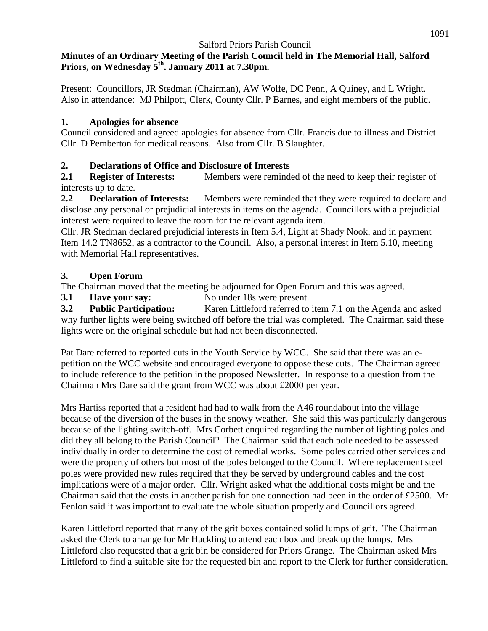## **Minutes of an Ordinary Meeting of the Parish Council held in The Memorial Hall, Salford Priors, on Wednesday 5 th. January 2011 at 7.30pm.**

Present: Councillors, JR Stedman (Chairman), AW Wolfe, DC Penn, A Quiney, and L Wright. Also in attendance: MJ Philpott, Clerk, County Cllr. P Barnes, and eight members of the public.

## **1. Apologies for absence**

Council considered and agreed apologies for absence from Cllr. Francis due to illness and District Cllr. D Pemberton for medical reasons. Also from Cllr. B Slaughter.

# **2. Declarations of Office and Disclosure of Interests**

**2.1 Register of Interests:** Members were reminded of the need to keep their register of interests up to date.

**2.2 Declaration of Interests:** Members were reminded that they were required to declare and disclose any personal or prejudicial interests in items on the agenda. Councillors with a prejudicial interest were required to leave the room for the relevant agenda item.

Cllr. JR Stedman declared prejudicial interests in Item 5.4, Light at Shady Nook, and in payment Item 14.2 TN8652, as a contractor to the Council. Also, a personal interest in Item 5.10, meeting with Memorial Hall representatives.

# **3. Open Forum**

The Chairman moved that the meeting be adjourned for Open Forum and this was agreed.

**3.1 Have your say:** No under 18s were present.

**3.2 Public Participation:** Karen Littleford referred to item 7.1 on the Agenda and asked why further lights were being switched off before the trial was completed. The Chairman said these lights were on the original schedule but had not been disconnected.

Pat Dare referred to reported cuts in the Youth Service by WCC. She said that there was an epetition on the WCC website and encouraged everyone to oppose these cuts. The Chairman agreed to include reference to the petition in the proposed Newsletter. In response to a question from the Chairman Mrs Dare said the grant from WCC was about £2000 per year.

Mrs Hartiss reported that a resident had had to walk from the A46 roundabout into the village because of the diversion of the buses in the snowy weather. She said this was particularly dangerous because of the lighting switch-off. Mrs Corbett enquired regarding the number of lighting poles and did they all belong to the Parish Council? The Chairman said that each pole needed to be assessed individually in order to determine the cost of remedial works. Some poles carried other services and were the property of others but most of the poles belonged to the Council. Where replacement steel poles were provided new rules required that they be served by underground cables and the cost implications were of a major order. Cllr. Wright asked what the additional costs might be and the Chairman said that the costs in another parish for one connection had been in the order of £2500. Mr Fenlon said it was important to evaluate the whole situation properly and Councillors agreed.

Karen Littleford reported that many of the grit boxes contained solid lumps of grit. The Chairman asked the Clerk to arrange for Mr Hackling to attend each box and break up the lumps. Mrs Littleford also requested that a grit bin be considered for Priors Grange. The Chairman asked Mrs Littleford to find a suitable site for the requested bin and report to the Clerk for further consideration.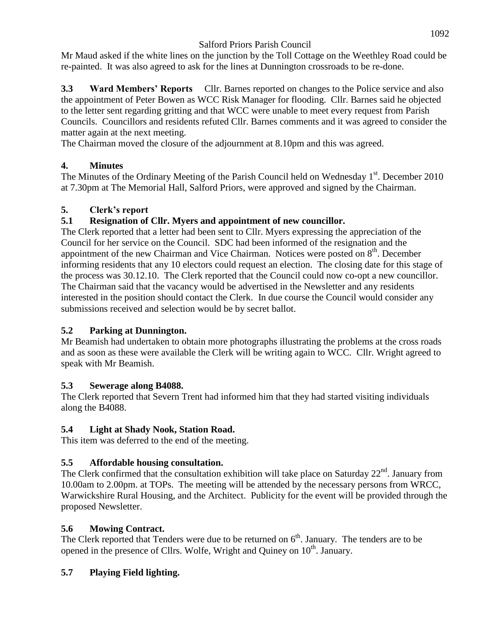Mr Maud asked if the white lines on the junction by the Toll Cottage on the Weethley Road could be re-painted. It was also agreed to ask for the lines at Dunnington crossroads to be re-done.

**3.3 Ward Members' Reports** Cllr. Barnes reported on changes to the Police service and also the appointment of Peter Bowen as WCC Risk Manager for flooding. Cllr. Barnes said he objected to the letter sent regarding gritting and that WCC were unable to meet every request from Parish Councils. Councillors and residents refuted Cllr. Barnes comments and it was agreed to consider the matter again at the next meeting.

The Chairman moved the closure of the adjournment at 8.10pm and this was agreed.

# **4. Minutes**

The Minutes of the Ordinary Meeting of the Parish Council held on Wednesday 1<sup>st</sup>. December 2010 at 7.30pm at The Memorial Hall, Salford Priors, were approved and signed by the Chairman.

# **5. Clerk's report**

# **5.1 Resignation of Cllr. Myers and appointment of new councillor.**

The Clerk reported that a letter had been sent to Cllr. Myers expressing the appreciation of the Council for her service on the Council. SDC had been informed of the resignation and the appointment of the new Chairman and Vice Chairman. Notices were posted on  $8<sup>th</sup>$ . December informing residents that any 10 electors could request an election. The closing date for this stage of the process was 30.12.10. The Clerk reported that the Council could now co-opt a new councillor. The Chairman said that the vacancy would be advertised in the Newsletter and any residents interested in the position should contact the Clerk. In due course the Council would consider any submissions received and selection would be by secret ballot.

# **5.2 Parking at Dunnington.**

Mr Beamish had undertaken to obtain more photographs illustrating the problems at the cross roads and as soon as these were available the Clerk will be writing again to WCC. Cllr. Wright agreed to speak with Mr Beamish.

# **5.3 Sewerage along B4088.**

The Clerk reported that Severn Trent had informed him that they had started visiting individuals along the B4088.

# **5.4 Light at Shady Nook, Station Road.**

This item was deferred to the end of the meeting.

# **5.5 Affordable housing consultation.**

The Clerk confirmed that the consultation exhibition will take place on Saturday 22<sup>nd</sup>. January from 10.00am to 2.00pm. at TOPs. The meeting will be attended by the necessary persons from WRCC, Warwickshire Rural Housing, and the Architect. Publicity for the event will be provided through the proposed Newsletter.

# **5.6 Mowing Contract.**

The Clerk reported that Tenders were due to be returned on 6<sup>th</sup>. January. The tenders are to be opened in the presence of Cllrs. Wolfe, Wright and Quiney on  $10^{th}$ . January.

# **5.7 Playing Field lighting.**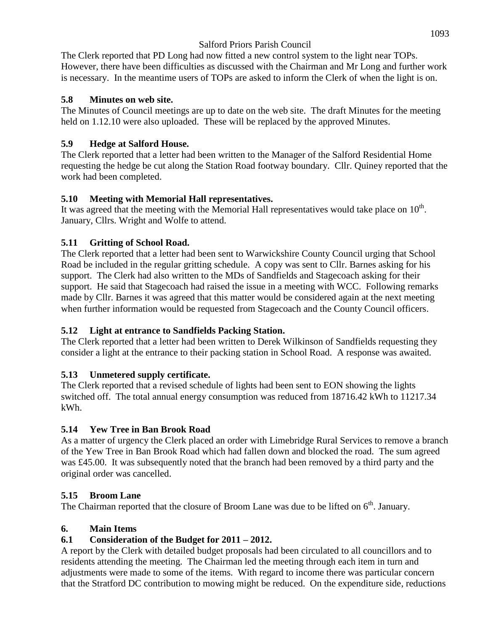The Clerk reported that PD Long had now fitted a new control system to the light near TOPs. However, there have been difficulties as discussed with the Chairman and Mr Long and further work is necessary. In the meantime users of TOPs are asked to inform the Clerk of when the light is on.

#### **5.8 Minutes on web site.**

The Minutes of Council meetings are up to date on the web site. The draft Minutes for the meeting held on 1.12.10 were also uploaded. These will be replaced by the approved Minutes.

## **5.9 Hedge at Salford House.**

The Clerk reported that a letter had been written to the Manager of the Salford Residential Home requesting the hedge be cut along the Station Road footway boundary. Cllr. Quiney reported that the work had been completed.

## **5.10 Meeting with Memorial Hall representatives.**

It was agreed that the meeting with the Memorial Hall representatives would take place on  $10<sup>th</sup>$ . January, Cllrs. Wright and Wolfe to attend.

## **5.11 Gritting of School Road.**

The Clerk reported that a letter had been sent to Warwickshire County Council urging that School Road be included in the regular gritting schedule. A copy was sent to Cllr. Barnes asking for his support. The Clerk had also written to the MDs of Sandfields and Stagecoach asking for their support. He said that Stagecoach had raised the issue in a meeting with WCC. Following remarks made by Cllr. Barnes it was agreed that this matter would be considered again at the next meeting when further information would be requested from Stagecoach and the County Council officers.

## **5.12 Light at entrance to Sandfields Packing Station.**

The Clerk reported that a letter had been written to Derek Wilkinson of Sandfields requesting they consider a light at the entrance to their packing station in School Road. A response was awaited.

## **5.13 Unmetered supply certificate.**

The Clerk reported that a revised schedule of lights had been sent to EON showing the lights switched off. The total annual energy consumption was reduced from 18716.42 kWh to 11217.34 kWh.

## **5.14 Yew Tree in Ban Brook Road**

As a matter of urgency the Clerk placed an order with Limebridge Rural Services to remove a branch of the Yew Tree in Ban Brook Road which had fallen down and blocked the road. The sum agreed was £45.00. It was subsequently noted that the branch had been removed by a third party and the original order was cancelled.

## **5.15 Broom Lane**

The Chairman reported that the closure of Broom Lane was due to be lifted on  $6<sup>th</sup>$ . January.

## **6. Main Items**

## **6.1 Consideration of the Budget for 2011 – 2012.**

A report by the Clerk with detailed budget proposals had been circulated to all councillors and to residents attending the meeting. The Chairman led the meeting through each item in turn and adjustments were made to some of the items. With regard to income there was particular concern that the Stratford DC contribution to mowing might be reduced. On the expenditure side, reductions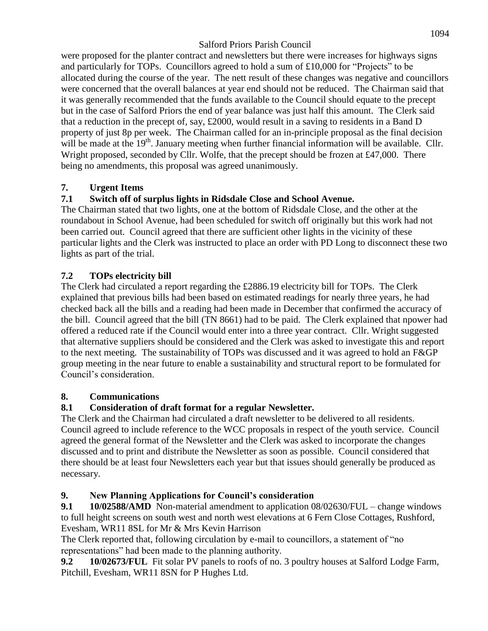were proposed for the planter contract and newsletters but there were increases for highways signs and particularly for TOPs. Councillors agreed to hold a sum of £10,000 for "Projects" to be allocated during the course of the year. The nett result of these changes was negative and councillors were concerned that the overall balances at year end should not be reduced. The Chairman said that it was generally recommended that the funds available to the Council should equate to the precept but in the case of Salford Priors the end of year balance was just half this amount. The Clerk said that a reduction in the precept of, say, £2000, would result in a saving to residents in a Band D property of just 8p per week. The Chairman called for an in-principle proposal as the final decision will be made at the 19<sup>th</sup>. January meeting when further financial information will be available. Cllr. Wright proposed, seconded by Cllr. Wolfe, that the precept should be frozen at £47,000. There being no amendments, this proposal was agreed unanimously.

## **7. Urgent Items**

# **7.1 Switch off of surplus lights in Ridsdale Close and School Avenue.**

The Chairman stated that two lights, one at the bottom of Ridsdale Close, and the other at the roundabout in School Avenue, had been scheduled for switch off originally but this work had not been carried out. Council agreed that there are sufficient other lights in the vicinity of these particular lights and the Clerk was instructed to place an order with PD Long to disconnect these two lights as part of the trial.

# **7.2 TOPs electricity bill**

The Clerk had circulated a report regarding the £2886.19 electricity bill for TOPs. The Clerk explained that previous bills had been based on estimated readings for nearly three years, he had checked back all the bills and a reading had been made in December that confirmed the accuracy of the bill. Council agreed that the bill (TN 8661) had to be paid. The Clerk explained that npower had offered a reduced rate if the Council would enter into a three year contract. Cllr. Wright suggested that alternative suppliers should be considered and the Clerk was asked to investigate this and report to the next meeting. The sustainability of TOPs was discussed and it was agreed to hold an F&GP group meeting in the near future to enable a sustainability and structural report to be formulated for Council's consideration.

## **8. Communications**

## **8.1 Consideration of draft format for a regular Newsletter.**

The Clerk and the Chairman had circulated a draft newsletter to be delivered to all residents. Council agreed to include reference to the WCC proposals in respect of the youth service. Council agreed the general format of the Newsletter and the Clerk was asked to incorporate the changes discussed and to print and distribute the Newsletter as soon as possible. Council considered that there should be at least four Newsletters each year but that issues should generally be produced as necessary.

## **9. New Planning Applications for Council's consideration**

**9.1 10/02588/AMD** Non-material amendment to application 08/02630/FUL – change windows to full height screens on south west and north west elevations at 6 Fern Close Cottages, Rushford, Evesham, WR11 8SL for Mr & Mrs Kevin Harrison

The Clerk reported that, following circulation by e-mail to councillors, a statement of "no representations" had been made to the planning authority.

**9.2 10/02673/FUL** Fit solar PV panels to roofs of no. 3 poultry houses at Salford Lodge Farm, Pitchill, Evesham, WR11 8SN for P Hughes Ltd.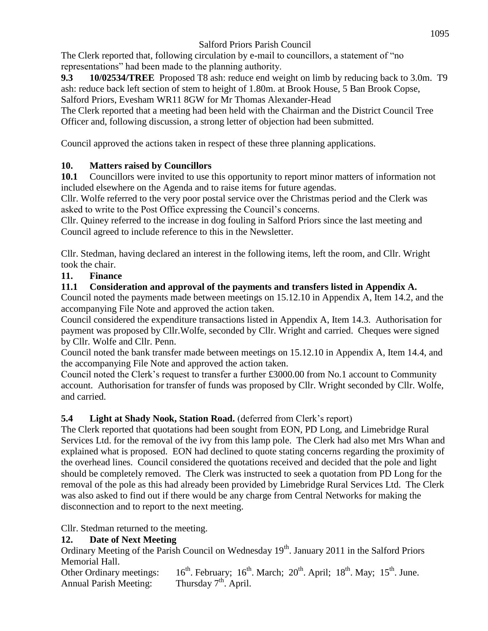The Clerk reported that, following circulation by e-mail to councillors, a statement of "no representations" had been made to the planning authority.

**9.3 10/02534/TREE** Proposed T8 ash: reduce end weight on limb by reducing back to 3.0m. T9 ash: reduce back left section of stem to height of 1.80m. at Brook House, 5 Ban Brook Copse, Salford Priors, Evesham WR11 8GW for Mr Thomas Alexander-Head

The Clerk reported that a meeting had been held with the Chairman and the District Council Tree Officer and, following discussion, a strong letter of objection had been submitted.

Council approved the actions taken in respect of these three planning applications.

# **10. Matters raised by Councillors**

**10.1** Councillors were invited to use this opportunity to report minor matters of information not included elsewhere on the Agenda and to raise items for future agendas.

Cllr. Wolfe referred to the very poor postal service over the Christmas period and the Clerk was asked to write to the Post Office expressing the Council's concerns.

Cllr. Quiney referred to the increase in dog fouling in Salford Priors since the last meeting and Council agreed to include reference to this in the Newsletter.

Cllr. Stedman, having declared an interest in the following items, left the room, and Cllr. Wright took the chair.

# **11. Finance**

# **11.1 Consideration and approval of the payments and transfers listed in Appendix A.**

Council noted the payments made between meetings on 15.12.10 in Appendix A, Item 14.2, and the accompanying File Note and approved the action taken.

Council considered the expenditure transactions listed in Appendix A, Item 14.3. Authorisation for payment was proposed by Cllr.Wolfe, seconded by Cllr. Wright and carried. Cheques were signed by Cllr. Wolfe and Cllr. Penn.

Council noted the bank transfer made between meetings on 15.12.10 in Appendix A, Item 14.4, and the accompanying File Note and approved the action taken.

Council noted the Clerk's request to transfer a further £3000.00 from No.1 account to Community account. Authorisation for transfer of funds was proposed by Cllr. Wright seconded by Cllr. Wolfe, and carried.

# **5.4 Light at Shady Nook, Station Road.** (deferred from Clerk's report)

The Clerk reported that quotations had been sought from EON, PD Long, and Limebridge Rural Services Ltd. for the removal of the ivy from this lamp pole. The Clerk had also met Mrs Whan and explained what is proposed. EON had declined to quote stating concerns regarding the proximity of the overhead lines. Council considered the quotations received and decided that the pole and light should be completely removed. The Clerk was instructed to seek a quotation from PD Long for the removal of the pole as this had already been provided by Limebridge Rural Services Ltd. The Clerk was also asked to find out if there would be any charge from Central Networks for making the disconnection and to report to the next meeting.

Cllr. Stedman returned to the meeting.

# **12. Date of Next Meeting**

Ordinary Meeting of the Parish Council on Wednesday 19<sup>th</sup>. January 2011 in the Salford Priors Memorial Hall.

Other Ordinary meetings:  $16^{th}$ . February;  $16^{th}$ . March;  $20^{th}$ . April;  $18^{th}$ . May;  $15^{th}$ . June.<br>Annual Parish Meeting: Thursday  $7^{th}$ . April. Annual Parish Meeting: